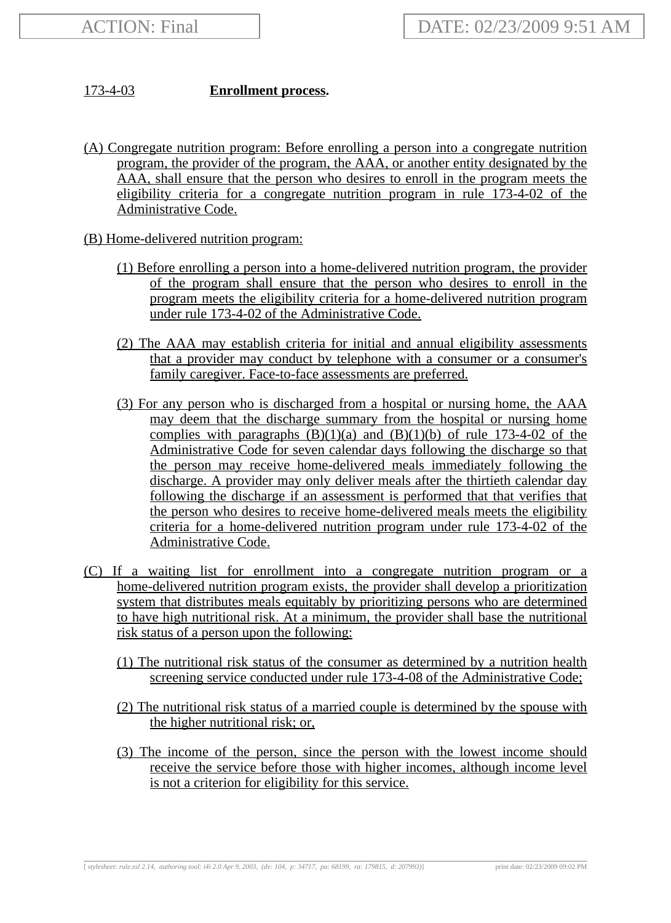## 173-4-03 **Enrollment process.**

- (A) Congregate nutrition program: Before enrolling a person into a congregate nutrition program, the provider of the program, the AAA, or another entity designated by the AAA, shall ensure that the person who desires to enroll in the program meets the eligibility criteria for a congregate nutrition program in rule 173-4-02 of the Administrative Code.
- (B) Home-delivered nutrition program:
	- (1) Before enrolling a person into a home-delivered nutrition program, the provider of the program shall ensure that the person who desires to enroll in the program meets the eligibility criteria for a home-delivered nutrition program under rule 173-4-02 of the Administrative Code.
	- (2) The AAA may establish criteria for initial and annual eligibility assessments that a provider may conduct by telephone with a consumer or a consumer's family caregiver. Face-to-face assessments are preferred.
	- (3) For any person who is discharged from a hospital or nursing home, the AAA may deem that the discharge summary from the hospital or nursing home complies with paragraphs  $(B)(1)(a)$  and  $(B)(1)(b)$  of rule 173-4-02 of the Administrative Code for seven calendar days following the discharge so that the person may receive home-delivered meals immediately following the discharge. A provider may only deliver meals after the thirtieth calendar day following the discharge if an assessment is performed that that verifies that the person who desires to receive home-delivered meals meets the eligibility criteria for a home-delivered nutrition program under rule 173-4-02 of the Administrative Code.
- (C) If a waiting list for enrollment into a congregate nutrition program or a home-delivered nutrition program exists, the provider shall develop a prioritization system that distributes meals equitably by prioritizing persons who are determined to have high nutritional risk. At a minimum, the provider shall base the nutritional risk status of a person upon the following:
	- (1) The nutritional risk status of the consumer as determined by a nutrition health screening service conducted under rule 173-4-08 of the Administrative Code;
	- (2) The nutritional risk status of a married couple is determined by the spouse with the higher nutritional risk; or,
	- (3) The income of the person, since the person with the lowest income should receive the service before those with higher incomes, although income level is not a criterion for eligibility for this service.